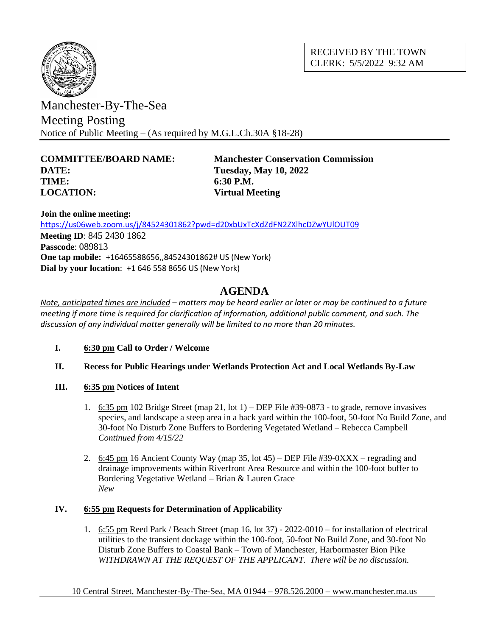

RECEIVED BY THE TOWN CLERK: 5/5/2022 9:32 AM

Manchester-By-The-Sea Meeting Posting Notice of Public Meeting – (As required by M.G.L.Ch.30A §18-28)

# **DATE: Tuesday, May 10, 2022 TIME: 6:30 P.M. LOCATION: Virtual Meeting**

**COMMITTEE/BOARD NAME: Manchester Conservation Commission**

**Join the online meeting:** <https://us06web.zoom.us/j/84524301862?pwd=d20xbUxTcXdZdFN2ZXlhcDZwYUlOUT09> **Meeting ID**: 845 2430 1862 **Passcode**: 089813 **One tap mobile:** +16465588656,,84524301862# US (New York) **Dial by your location**: +1 646 558 8656 US (New York)

# **AGENDA**

*Note, anticipated times are included – matters may be heard earlier or later or may be continued to a future meeting if more time is required for clarification of information, additional public comment, and such. The discussion of any individual matter generally will be limited to no more than 20 minutes.*

- **I. 6:30 pm Call to Order / Welcome**
- **II. Recess for Public Hearings under Wetlands Protection Act and Local Wetlands By-Law**
- **III. 6:35 pm Notices of Intent**
	- 1.  $6:35 \text{ pm } 102 \text{ Bridge Street (map } 21, \text{ lot } 1) \text{DEP File } #39-0873 \text{to grade, remove invasives}$ species, and landscape a steep area in a back yard within the 100-foot, 50-foot No Build Zone, and 30-foot No Disturb Zone Buffers to Bordering Vegetated Wetland – Rebecca Campbell *Continued from 4/15/22*
	- 2. 6:45 pm 16 Ancient County Way (map 35, lot 45) DEP File #39-0XXX regrading and drainage improvements within Riverfront Area Resource and within the 100-foot buffer to Bordering Vegetative Wetland – Brian & Lauren Grace *New*

# **IV. 6:55 pm Requests for Determination of Applicability**

1. 6:55 pm Reed Park / Beach Street (map 16, lot 37) - 2022-0010 – for installation of electrical utilities to the transient dockage within the 100-foot, 50-foot No Build Zone, and 30-foot No Disturb Zone Buffers to Coastal Bank – Town of Manchester, Harbormaster Bion Pike *WITHDRAWN AT THE REQUEST OF THE APPLICANT. There will be no discussion.*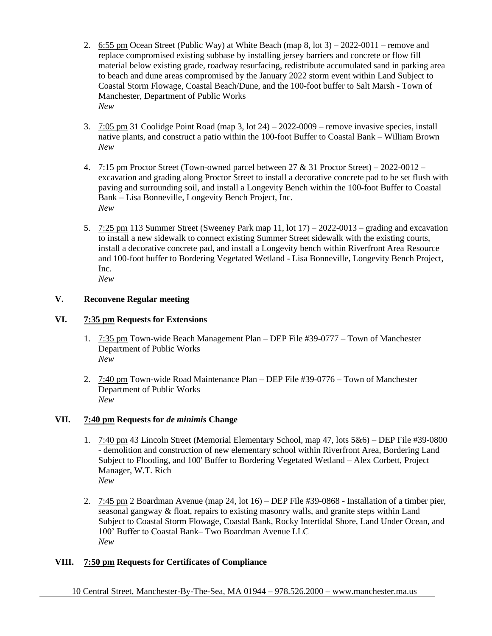- 2. 6:55 pm Ocean Street (Public Way) at White Beach (map  $8$ , lot  $3$ ) 2022-0011 remove and replace compromised existing subbase by installing jersey barriers and concrete or flow fill material below existing grade, roadway resurfacing, redistribute accumulated sand in parking area to beach and dune areas compromised by the January 2022 storm event within Land Subject to Coastal Storm Flowage, Coastal Beach/Dune, and the 100-foot buffer to Salt Marsh - Town of Manchester, Department of Public Works *New*
- 3. 7:05 pm 31 Coolidge Point Road (map 3, lot 24) 2022-0009 remove invasive species, install native plants, and construct a patio within the 100-foot Buffer to Coastal Bank – William Brown *New*
- 4. 7:15 pm Proctor Street (Town-owned parcel between 27  $&$  31 Proctor Street) 2022-0012 excavation and grading along Proctor Street to install a decorative concrete pad to be set flush with paving and surrounding soil, and install a Longevity Bench within the 100-foot Buffer to Coastal Bank – Lisa Bonneville, Longevity Bench Project, Inc. *New*
- 5. 7:25 pm 113 Summer Street (Sweeney Park map 11, lot 17) 2022-0013 grading and excavation to install a new sidewalk to connect existing Summer Street sidewalk with the existing courts, install a decorative concrete pad, and install a Longevity bench within Riverfront Area Resource and 100-foot buffer to Bordering Vegetated Wetland - Lisa Bonneville, Longevity Bench Project, Inc. *New*

## **V. Reconvene Regular meeting**

#### **VI. 7:35 pm Requests for Extensions**

- 1. 7:35 pm Town-wide Beach Management Plan DEP File #39-0777 Town of Manchester Department of Public Works *New*
- 2. 7:40 pm Town-wide Road Maintenance Plan DEP File #39-0776 Town of Manchester Department of Public Works *New*

#### **VII. 7:40 pm Requests for** *de minimis* **Change**

- 1. 7:40 pm 43 Lincoln Street (Memorial Elementary School, map 47, lots 5&6) DEP File #39-0800 - demolition and construction of new elementary school within Riverfront Area, Bordering Land Subject to Flooding, and 100' Buffer to Bordering Vegetated Wetland – Alex Corbett, Project Manager, W.T. Rich *New*
- 2. 7:45 pm 2 Boardman Avenue (map 24, lot 16) DEP File #39-0868 Installation of a timber pier, seasonal gangway & float, repairs to existing masonry walls, and granite steps within Land Subject to Coastal Storm Flowage, Coastal Bank, Rocky Intertidal Shore, Land Under Ocean, and 100' Buffer to Coastal Bank– Two Boardman Avenue LLC *New*

#### **VIII. 7:50 pm Requests for Certificates of Compliance**

10 Central Street, Manchester-By-The-Sea, MA 01944 – 978.526.2000 – www.manchester.ma.us